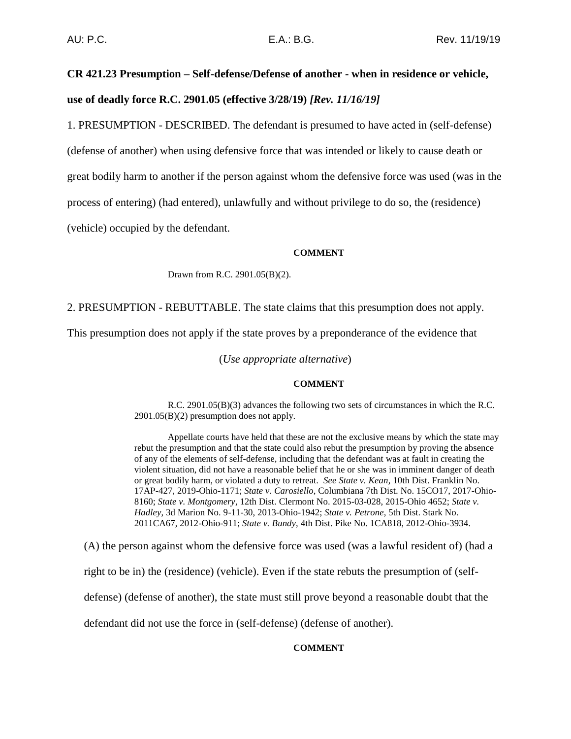# **CR 421.23 Presumption – Self-defense/Defense of another - when in residence or vehicle, use of deadly force R.C. 2901.05 (effective 3/28/19)** *[Rev. 11/16/19]*

1. PRESUMPTION - DESCRIBED. The defendant is presumed to have acted in (self-defense)

(defense of another) when using defensive force that was intended or likely to cause death or

great bodily harm to another if the person against whom the defensive force was used (was in the

process of entering) (had entered), unlawfully and without privilege to do so, the (residence)

(vehicle) occupied by the defendant.

## **COMMENT**

Drawn from R.C. 2901.05(B)(2).

2. PRESUMPTION - REBUTTABLE. The state claims that this presumption does not apply.

This presumption does not apply if the state proves by a preponderance of the evidence that

(*Use appropriate alternative*)

#### **COMMENT**

R.C. 2901.05(B)(3) advances the following two sets of circumstances in which the R.C. 2901.05(B)(2) presumption does not apply.

Appellate courts have held that these are not the exclusive means by which the state may rebut the presumption and that the state could also rebut the presumption by proving the absence of any of the elements of self-defense, including that the defendant was at fault in creating the violent situation, did not have a reasonable belief that he or she was in imminent danger of death or great bodily harm, or violated a duty to retreat. *See State v. Kean*, 10th Dist. Franklin No. 17AP-427, 2019-Ohio-1171; *State v. Carosiello*, Columbiana 7th Dist. No. 15CO17, 2017-Ohio-8160; *State v. Montgomery*, 12th Dist. Clermont No. 2015-03-028, 2015-Ohio 4652; *State v. Hadley*, 3d Marion No. 9-11-30, 2013-Ohio-1942; *State v. Petrone*, 5th Dist. Stark No. 2011CA67, 2012-Ohio-911; *State v. Bundy*, 4th Dist. Pike No. 1CA818, 2012-Ohio-3934.

(A) the person against whom the defensive force was used (was a lawful resident of) (had a

right to be in) the (residence) (vehicle). Even if the state rebuts the presumption of (self-

defense) (defense of another), the state must still prove beyond a reasonable doubt that the

defendant did not use the force in (self-defense) (defense of another).

# **COMMENT**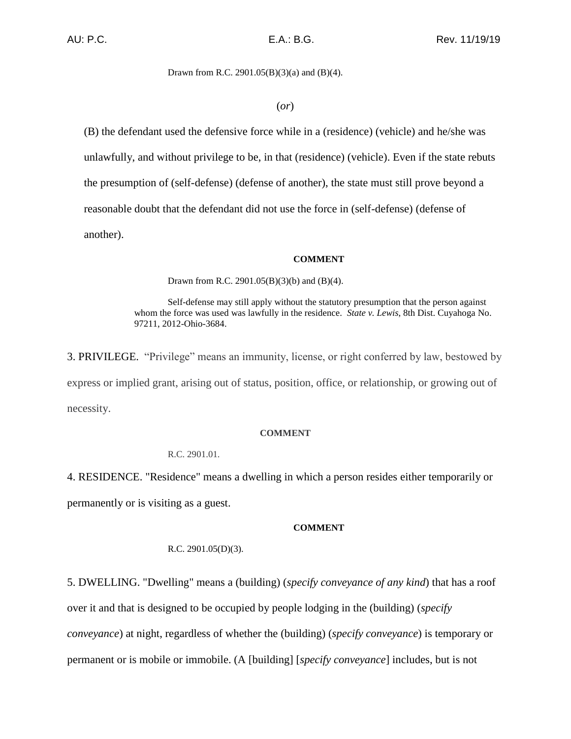## Drawn from R.C. 2901.05(B)(3)(a) and (B)(4).

## (*or*)

(B) the defendant used the defensive force while in a (residence) (vehicle) and he/she was unlawfully, and without privilege to be, in that (residence) (vehicle). Even if the state rebuts the presumption of (self-defense) (defense of another), the state must still prove beyond a reasonable doubt that the defendant did not use the force in (self-defense) (defense of another).

## **COMMENT**

Drawn from R.C. 2901.05(B)(3)(b) and (B)(4).

Self-defense may still apply without the statutory presumption that the person against whom the force was used was lawfully in the residence. *State v. Lewis*, 8th Dist. Cuyahoga No. 97211, 2012-Ohio-3684.

3. PRIVILEGE. "Privilege" means an immunity, license, or right conferred by law, bestowed by express or implied grant, arising out of status, position, office, or relationship, or growing out of necessity.

#### **COMMENT**

R.C. 2901.01.

4. RESIDENCE. "Residence" means a dwelling in which a person resides either temporarily or permanently or is visiting as a guest.

#### **COMMENT**

# R.C. 2901.05(D)(3).

5. DWELLING. "Dwelling" means a (building) (*specify conveyance of any kind*) that has a roof over it and that is designed to be occupied by people lodging in the (building) (*specify conveyance*) at night, regardless of whether the (building) (*specify conveyance*) is temporary or permanent or is mobile or immobile. (A [building] [*specify conveyance*] includes, but is not